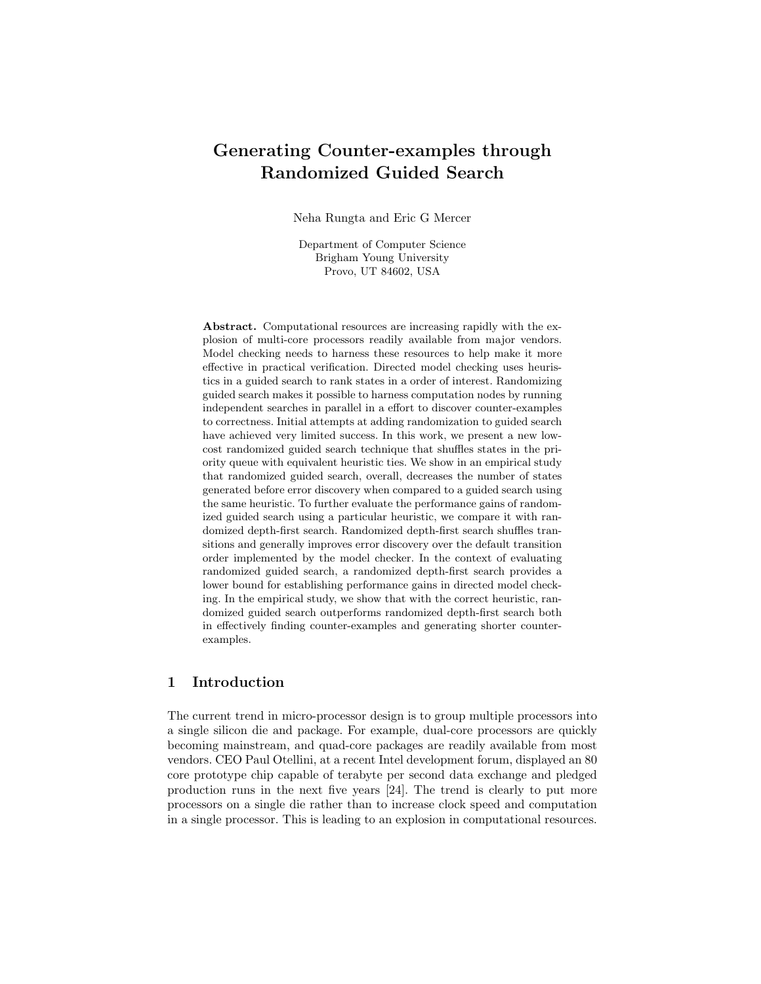# Generating Counter-examples through Randomized Guided Search

Neha Rungta and Eric G Mercer

Department of Computer Science Brigham Young University Provo, UT 84602, USA

Abstract. Computational resources are increasing rapidly with the explosion of multi-core processors readily available from major vendors. Model checking needs to harness these resources to help make it more effective in practical verification. Directed model checking uses heuristics in a guided search to rank states in a order of interest. Randomizing guided search makes it possible to harness computation nodes by running independent searches in parallel in a effort to discover counter-examples to correctness. Initial attempts at adding randomization to guided search have achieved very limited success. In this work, we present a new lowcost randomized guided search technique that shuffles states in the priority queue with equivalent heuristic ties. We show in an empirical study that randomized guided search, overall, decreases the number of states generated before error discovery when compared to a guided search using the same heuristic. To further evaluate the performance gains of randomized guided search using a particular heuristic, we compare it with randomized depth-first search. Randomized depth-first search shuffles transitions and generally improves error discovery over the default transition order implemented by the model checker. In the context of evaluating randomized guided search, a randomized depth-first search provides a lower bound for establishing performance gains in directed model checking. In the empirical study, we show that with the correct heuristic, randomized guided search outperforms randomized depth-first search both in effectively finding counter-examples and generating shorter counterexamples.

## 1 Introduction

The current trend in micro-processor design is to group multiple processors into a single silicon die and package. For example, dual-core processors are quickly becoming mainstream, and quad-core packages are readily available from most vendors. CEO Paul Otellini, at a recent Intel development forum, displayed an 80 core prototype chip capable of terabyte per second data exchange and pledged production runs in the next five years [24]. The trend is clearly to put more processors on a single die rather than to increase clock speed and computation in a single processor. This is leading to an explosion in computational resources.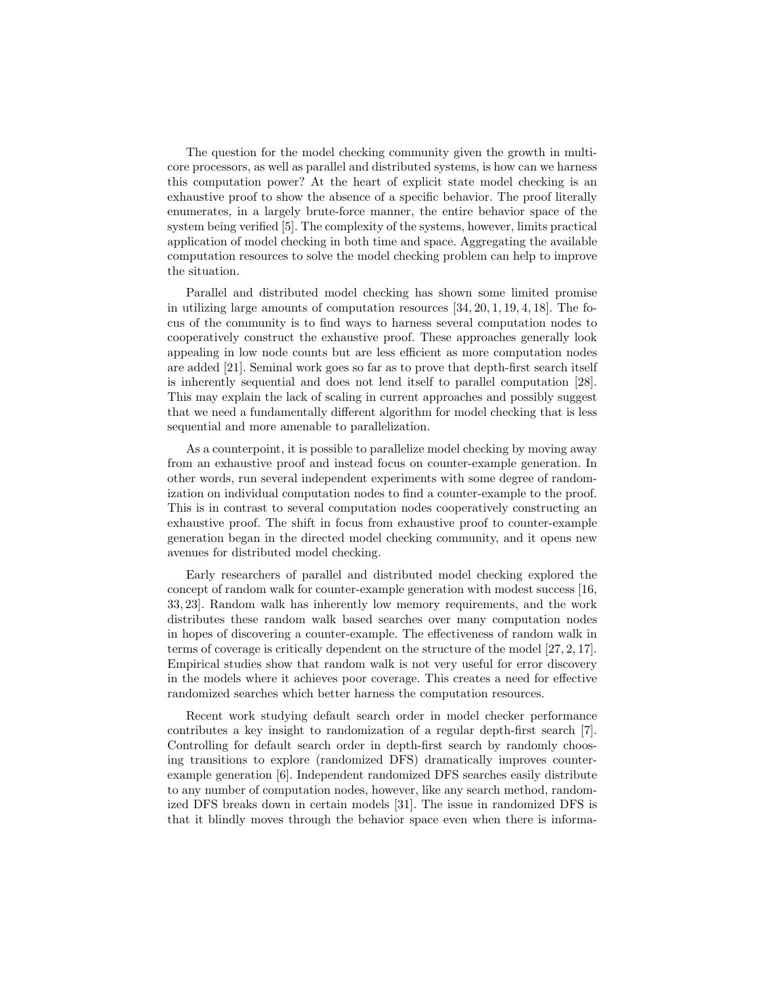The question for the model checking community given the growth in multicore processors, as well as parallel and distributed systems, is how can we harness this computation power? At the heart of explicit state model checking is an exhaustive proof to show the absence of a specific behavior. The proof literally enumerates, in a largely brute-force manner, the entire behavior space of the system being verified [5]. The complexity of the systems, however, limits practical application of model checking in both time and space. Aggregating the available computation resources to solve the model checking problem can help to improve the situation.

Parallel and distributed model checking has shown some limited promise in utilizing large amounts of computation resources [34, 20, 1, 19, 4, 18]. The focus of the community is to find ways to harness several computation nodes to cooperatively construct the exhaustive proof. These approaches generally look appealing in low node counts but are less efficient as more computation nodes are added [21]. Seminal work goes so far as to prove that depth-first search itself is inherently sequential and does not lend itself to parallel computation [28]. This may explain the lack of scaling in current approaches and possibly suggest that we need a fundamentally different algorithm for model checking that is less sequential and more amenable to parallelization.

As a counterpoint, it is possible to parallelize model checking by moving away from an exhaustive proof and instead focus on counter-example generation. In other words, run several independent experiments with some degree of randomization on individual computation nodes to find a counter-example to the proof. This is in contrast to several computation nodes cooperatively constructing an exhaustive proof. The shift in focus from exhaustive proof to counter-example generation began in the directed model checking community, and it opens new avenues for distributed model checking.

Early researchers of parallel and distributed model checking explored the concept of random walk for counter-example generation with modest success [16, 33, 23]. Random walk has inherently low memory requirements, and the work distributes these random walk based searches over many computation nodes in hopes of discovering a counter-example. The effectiveness of random walk in terms of coverage is critically dependent on the structure of the model [27, 2, 17]. Empirical studies show that random walk is not very useful for error discovery in the models where it achieves poor coverage. This creates a need for effective randomized searches which better harness the computation resources.

Recent work studying default search order in model checker performance contributes a key insight to randomization of a regular depth-first search [7]. Controlling for default search order in depth-first search by randomly choosing transitions to explore (randomized DFS) dramatically improves counterexample generation [6]. Independent randomized DFS searches easily distribute to any number of computation nodes, however, like any search method, randomized DFS breaks down in certain models [31]. The issue in randomized DFS is that it blindly moves through the behavior space even when there is informa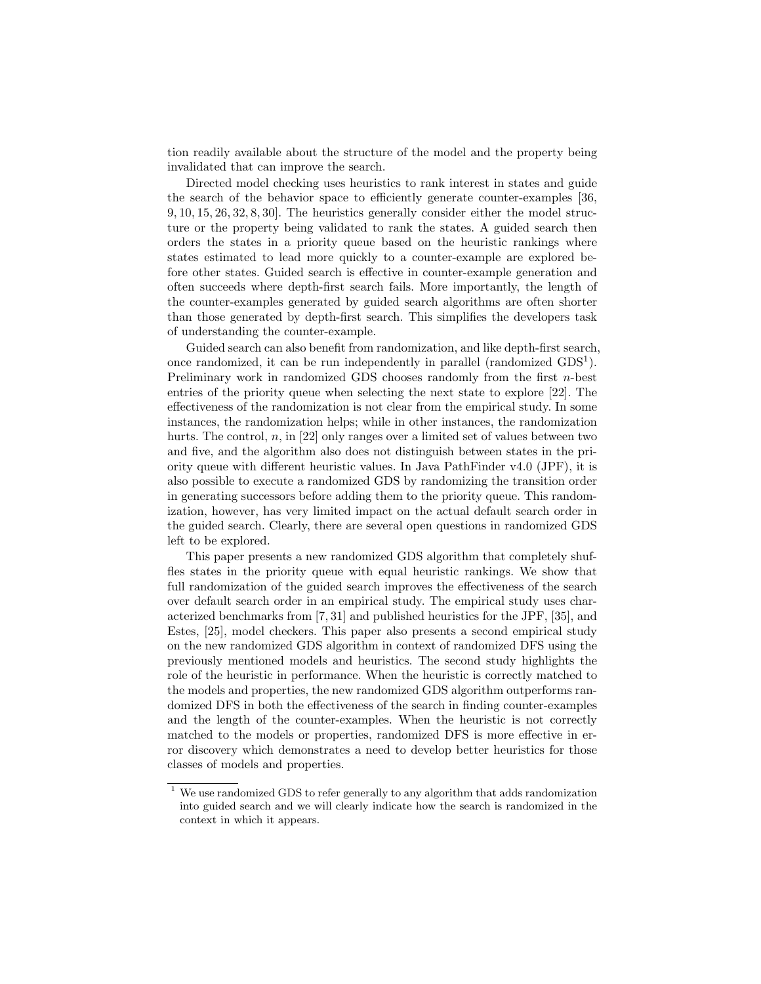tion readily available about the structure of the model and the property being invalidated that can improve the search.

Directed model checking uses heuristics to rank interest in states and guide the search of the behavior space to efficiently generate counter-examples [36, 9, 10, 15, 26, 32, 8, 30]. The heuristics generally consider either the model structure or the property being validated to rank the states. A guided search then orders the states in a priority queue based on the heuristic rankings where states estimated to lead more quickly to a counter-example are explored before other states. Guided search is effective in counter-example generation and often succeeds where depth-first search fails. More importantly, the length of the counter-examples generated by guided search algorithms are often shorter than those generated by depth-first search. This simplifies the developers task of understanding the counter-example.

Guided search can also benefit from randomization, and like depth-first search, once randomized, it can be run independently in parallel (randomized  $GDS<sup>1</sup>$ ). Preliminary work in randomized GDS chooses randomly from the first n-best entries of the priority queue when selecting the next state to explore [22]. The effectiveness of the randomization is not clear from the empirical study. In some instances, the randomization helps; while in other instances, the randomization hurts. The control,  $n$ , in [22] only ranges over a limited set of values between two and five, and the algorithm also does not distinguish between states in the priority queue with different heuristic values. In Java PathFinder v4.0 (JPF), it is also possible to execute a randomized GDS by randomizing the transition order in generating successors before adding them to the priority queue. This randomization, however, has very limited impact on the actual default search order in the guided search. Clearly, there are several open questions in randomized GDS left to be explored.

This paper presents a new randomized GDS algorithm that completely shuffles states in the priority queue with equal heuristic rankings. We show that full randomization of the guided search improves the effectiveness of the search over default search order in an empirical study. The empirical study uses characterized benchmarks from [7, 31] and published heuristics for the JPF, [35], and Estes, [25], model checkers. This paper also presents a second empirical study on the new randomized GDS algorithm in context of randomized DFS using the previously mentioned models and heuristics. The second study highlights the role of the heuristic in performance. When the heuristic is correctly matched to the models and properties, the new randomized GDS algorithm outperforms randomized DFS in both the effectiveness of the search in finding counter-examples and the length of the counter-examples. When the heuristic is not correctly matched to the models or properties, randomized DFS is more effective in error discovery which demonstrates a need to develop better heuristics for those classes of models and properties.

 $^{\rm 1}$  We use randomized GDS to refer generally to any algorithm that adds randomization into guided search and we will clearly indicate how the search is randomized in the context in which it appears.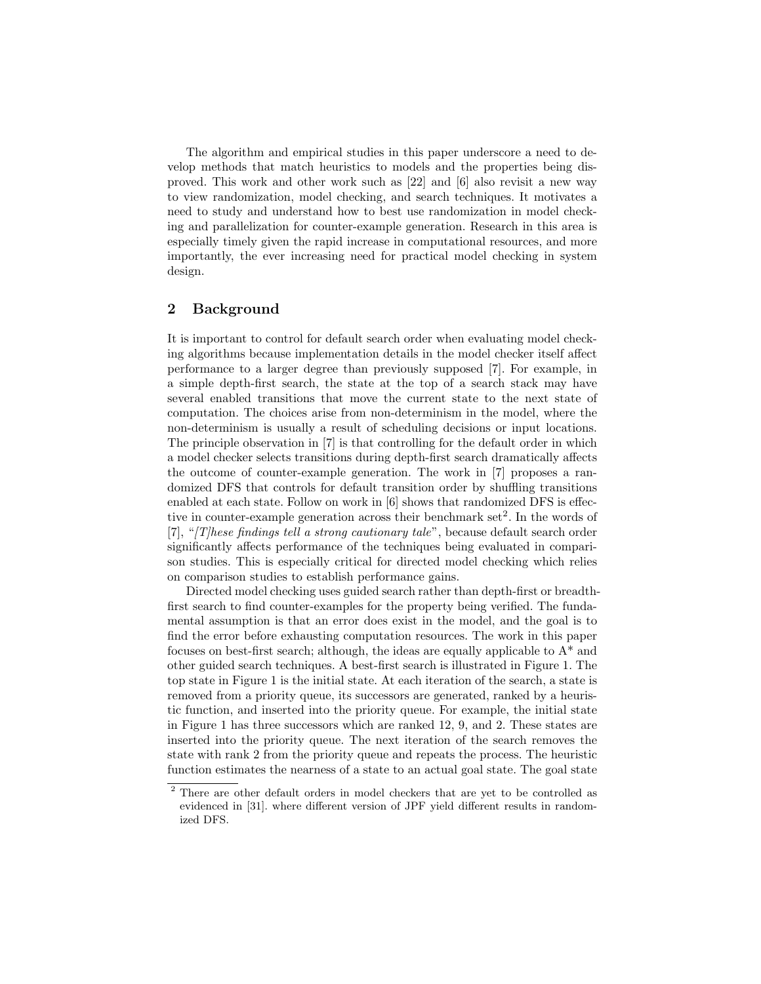The algorithm and empirical studies in this paper underscore a need to develop methods that match heuristics to models and the properties being disproved. This work and other work such as [22] and [6] also revisit a new way to view randomization, model checking, and search techniques. It motivates a need to study and understand how to best use randomization in model checking and parallelization for counter-example generation. Research in this area is especially timely given the rapid increase in computational resources, and more importantly, the ever increasing need for practical model checking in system design.

#### 2 Background

It is important to control for default search order when evaluating model checking algorithms because implementation details in the model checker itself affect performance to a larger degree than previously supposed [7]. For example, in a simple depth-first search, the state at the top of a search stack may have several enabled transitions that move the current state to the next state of computation. The choices arise from non-determinism in the model, where the non-determinism is usually a result of scheduling decisions or input locations. The principle observation in [7] is that controlling for the default order in which a model checker selects transitions during depth-first search dramatically affects the outcome of counter-example generation. The work in [7] proposes a randomized DFS that controls for default transition order by shuffling transitions enabled at each state. Follow on work in [6] shows that randomized DFS is effective in counter-example generation across their benchmark  $set<sup>2</sup>$ . In the words of [7], "[T]hese findings tell a strong cautionary tale", because default search order significantly affects performance of the techniques being evaluated in comparison studies. This is especially critical for directed model checking which relies on comparison studies to establish performance gains.

Directed model checking uses guided search rather than depth-first or breadthfirst search to find counter-examples for the property being verified. The fundamental assumption is that an error does exist in the model, and the goal is to find the error before exhausting computation resources. The work in this paper focuses on best-first search; although, the ideas are equally applicable to  $A^*$  and other guided search techniques. A best-first search is illustrated in Figure 1. The top state in Figure 1 is the initial state. At each iteration of the search, a state is removed from a priority queue, its successors are generated, ranked by a heuristic function, and inserted into the priority queue. For example, the initial state in Figure 1 has three successors which are ranked 12, 9, and 2. These states are inserted into the priority queue. The next iteration of the search removes the state with rank 2 from the priority queue and repeats the process. The heuristic function estimates the nearness of a state to an actual goal state. The goal state

<sup>2</sup> There are other default orders in model checkers that are yet to be controlled as evidenced in [31]. where different version of JPF yield different results in randomized DFS.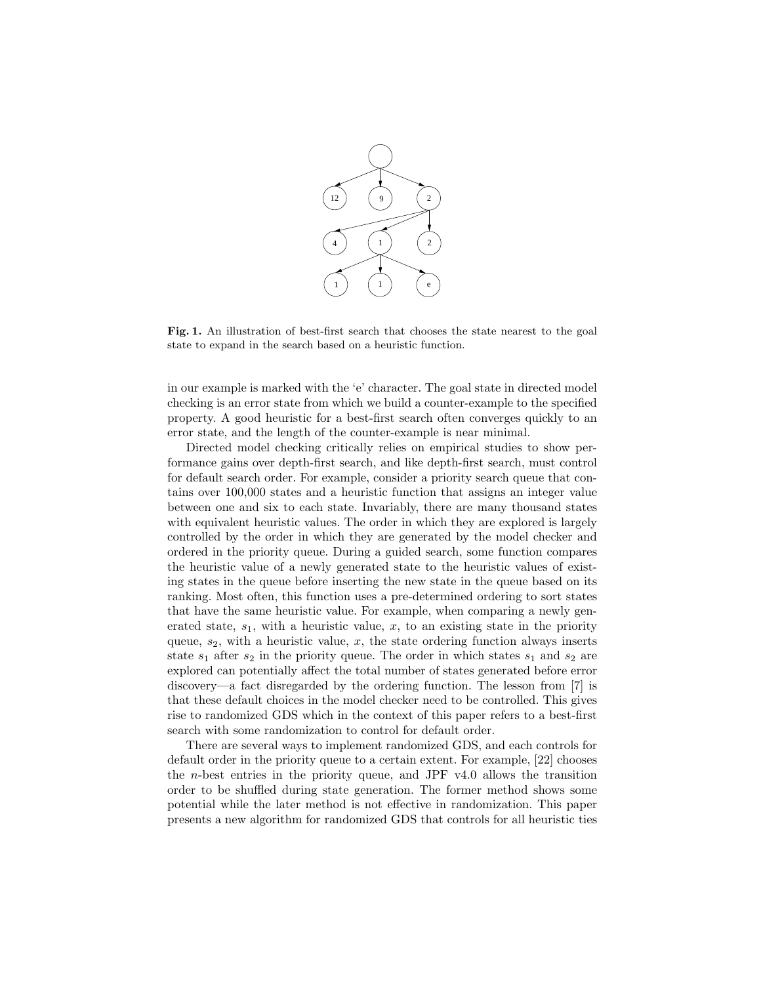

Fig. 1. An illustration of best-first search that chooses the state nearest to the goal state to expand in the search based on a heuristic function.

in our example is marked with the 'e' character. The goal state in directed model checking is an error state from which we build a counter-example to the specified property. A good heuristic for a best-first search often converges quickly to an error state, and the length of the counter-example is near minimal.

Directed model checking critically relies on empirical studies to show performance gains over depth-first search, and like depth-first search, must control for default search order. For example, consider a priority search queue that contains over 100,000 states and a heuristic function that assigns an integer value between one and six to each state. Invariably, there are many thousand states with equivalent heuristic values. The order in which they are explored is largely controlled by the order in which they are generated by the model checker and ordered in the priority queue. During a guided search, some function compares the heuristic value of a newly generated state to the heuristic values of existing states in the queue before inserting the new state in the queue based on its ranking. Most often, this function uses a pre-determined ordering to sort states that have the same heuristic value. For example, when comparing a newly generated state,  $s_1$ , with a heuristic value, x, to an existing state in the priority queue,  $s_2$ , with a heuristic value, x, the state ordering function always inserts state  $s_1$  after  $s_2$  in the priority queue. The order in which states  $s_1$  and  $s_2$  are explored can potentially affect the total number of states generated before error discovery—a fact disregarded by the ordering function. The lesson from [7] is that these default choices in the model checker need to be controlled. This gives rise to randomized GDS which in the context of this paper refers to a best-first search with some randomization to control for default order.

There are several ways to implement randomized GDS, and each controls for default order in the priority queue to a certain extent. For example, [22] chooses the *n*-best entries in the priority queue, and JPF  $v4.0$  allows the transition order to be shuffled during state generation. The former method shows some potential while the later method is not effective in randomization. This paper presents a new algorithm for randomized GDS that controls for all heuristic ties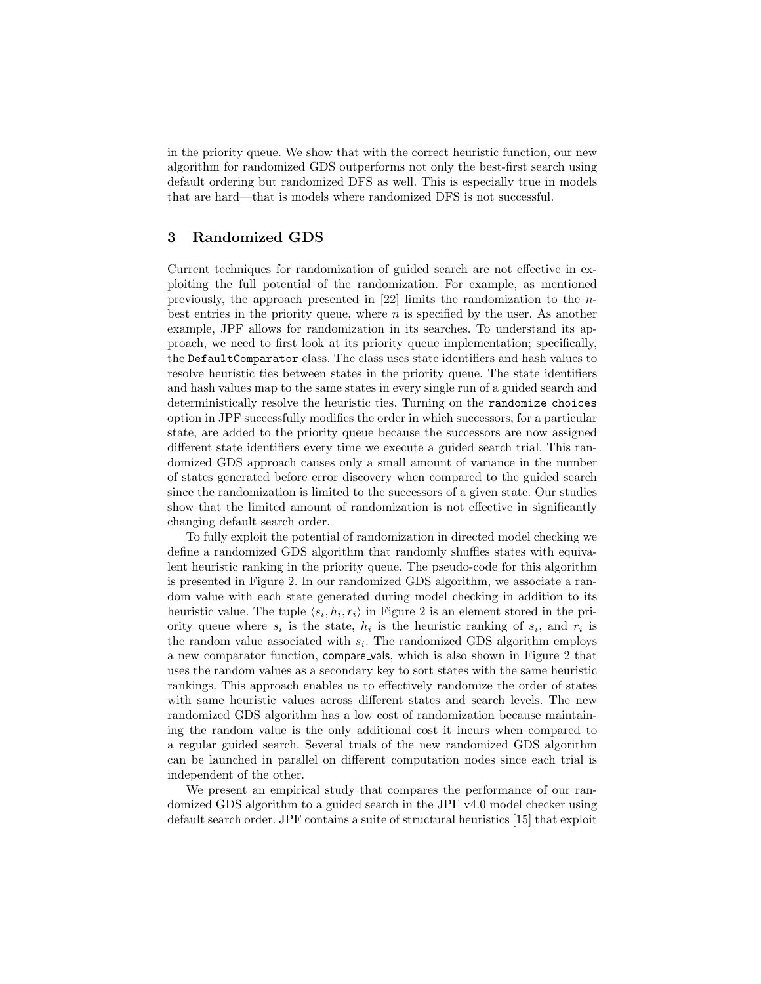in the priority queue. We show that with the correct heuristic function, our new algorithm for randomized GDS outperforms not only the best-first search using default ordering but randomized DFS as well. This is especially true in models that are hard—that is models where randomized DFS is not successful.

### 3 Randomized GDS

Current techniques for randomization of guided search are not effective in exploiting the full potential of the randomization. For example, as mentioned previously, the approach presented in  $[22]$  limits the randomization to the *n*best entries in the priority queue, where  $n$  is specified by the user. As another example, JPF allows for randomization in its searches. To understand its approach, we need to first look at its priority queue implementation; specifically, the DefaultComparator class. The class uses state identifiers and hash values to resolve heuristic ties between states in the priority queue. The state identifiers and hash values map to the same states in every single run of a guided search and deterministically resolve the heuristic ties. Turning on the randomize choices option in JPF successfully modifies the order in which successors, for a particular state, are added to the priority queue because the successors are now assigned different state identifiers every time we execute a guided search trial. This randomized GDS approach causes only a small amount of variance in the number of states generated before error discovery when compared to the guided search since the randomization is limited to the successors of a given state. Our studies show that the limited amount of randomization is not effective in significantly changing default search order.

To fully exploit the potential of randomization in directed model checking we define a randomized GDS algorithm that randomly shuffles states with equivalent heuristic ranking in the priority queue. The pseudo-code for this algorithm is presented in Figure 2. In our randomized GDS algorithm, we associate a random value with each state generated during model checking in addition to its heuristic value. The tuple  $\langle s_i, h_i, r_i \rangle$  in Figure 2 is an element stored in the priority queue where  $s_i$  is the state,  $h_i$  is the heuristic ranking of  $s_i$ , and  $r_i$  is the random value associated with  $s_i$ . The randomized GDS algorithm employs a new comparator function, compare vals, which is also shown in Figure 2 that uses the random values as a secondary key to sort states with the same heuristic rankings. This approach enables us to effectively randomize the order of states with same heuristic values across different states and search levels. The new randomized GDS algorithm has a low cost of randomization because maintaining the random value is the only additional cost it incurs when compared to a regular guided search. Several trials of the new randomized GDS algorithm can be launched in parallel on different computation nodes since each trial is independent of the other.

We present an empirical study that compares the performance of our randomized GDS algorithm to a guided search in the JPF v4.0 model checker using default search order. JPF contains a suite of structural heuristics [15] that exploit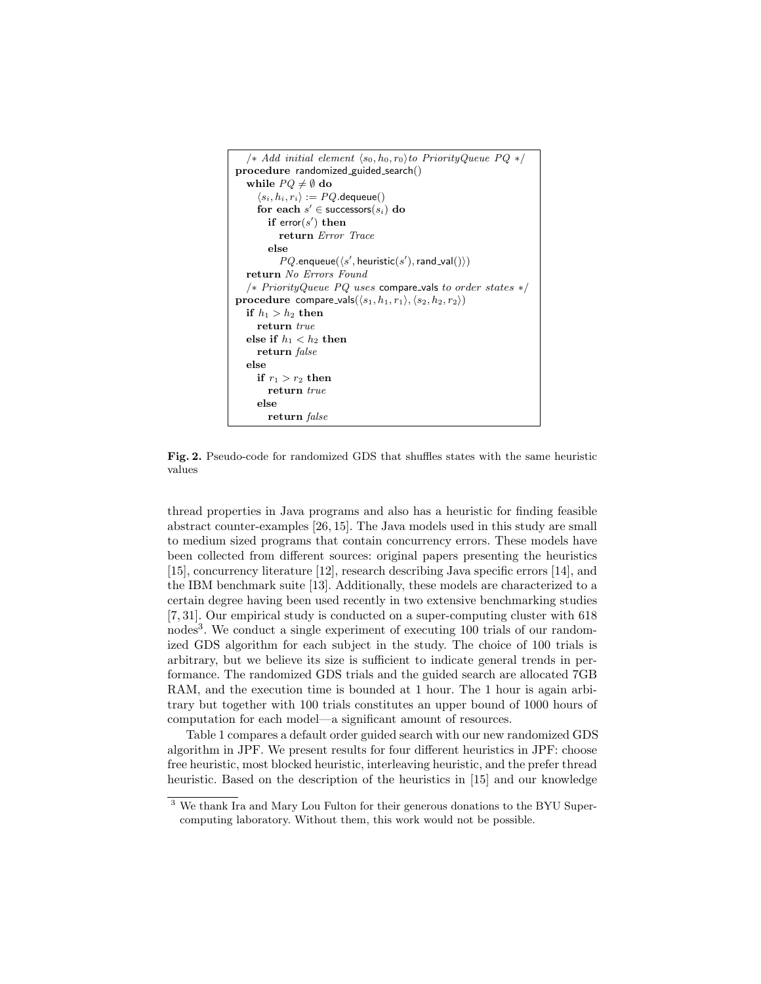```
/∗ Add initial element \langle s_0, h_0, r_0 \rangleto PriorityQueue PQ ∗/
procedure randomized guided search()
   while PQ \neq \emptyset do
     \langle s_i, h_i, r_i \rangle := PQ.dequeue()
      for each s' \in successors(s_i) do
        if error(s') then
           return Error Trace
        else
           PQ. enqueue(\langle s', \text{heuristic}(s'), \text{rand_val}(\rangle))return No Errors Found
   /∗ PriorityQueue PQ uses compare vals to order states ∗/
procedure compare_vals(\langle s_1, h_1, r_1 \rangle, \langle s_2, h_2, r_2 \rangle)if h_1 > h_2 then
     return true
   else if h_1 < h_2 then
     return false
   else
     if r_1 > r_2 then
        return true
     else
        return false
```
Fig. 2. Pseudo-code for randomized GDS that shuffles states with the same heuristic values

thread properties in Java programs and also has a heuristic for finding feasible abstract counter-examples [26, 15]. The Java models used in this study are small to medium sized programs that contain concurrency errors. These models have been collected from different sources: original papers presenting the heuristics [15], concurrency literature [12], research describing Java specific errors [14], and the IBM benchmark suite [13]. Additionally, these models are characterized to a certain degree having been used recently in two extensive benchmarking studies [7, 31]. Our empirical study is conducted on a super-computing cluster with 618 nodes<sup>3</sup>. We conduct a single experiment of executing 100 trials of our randomized GDS algorithm for each subject in the study. The choice of 100 trials is arbitrary, but we believe its size is sufficient to indicate general trends in performance. The randomized GDS trials and the guided search are allocated 7GB RAM, and the execution time is bounded at 1 hour. The 1 hour is again arbitrary but together with 100 trials constitutes an upper bound of 1000 hours of computation for each model—a significant amount of resources.

Table 1 compares a default order guided search with our new randomized GDS algorithm in JPF. We present results for four different heuristics in JPF: choose free heuristic, most blocked heuristic, interleaving heuristic, and the prefer thread heuristic. Based on the description of the heuristics in [15] and our knowledge

<sup>3</sup> We thank Ira and Mary Lou Fulton for their generous donations to the BYU Supercomputing laboratory. Without them, this work would not be possible.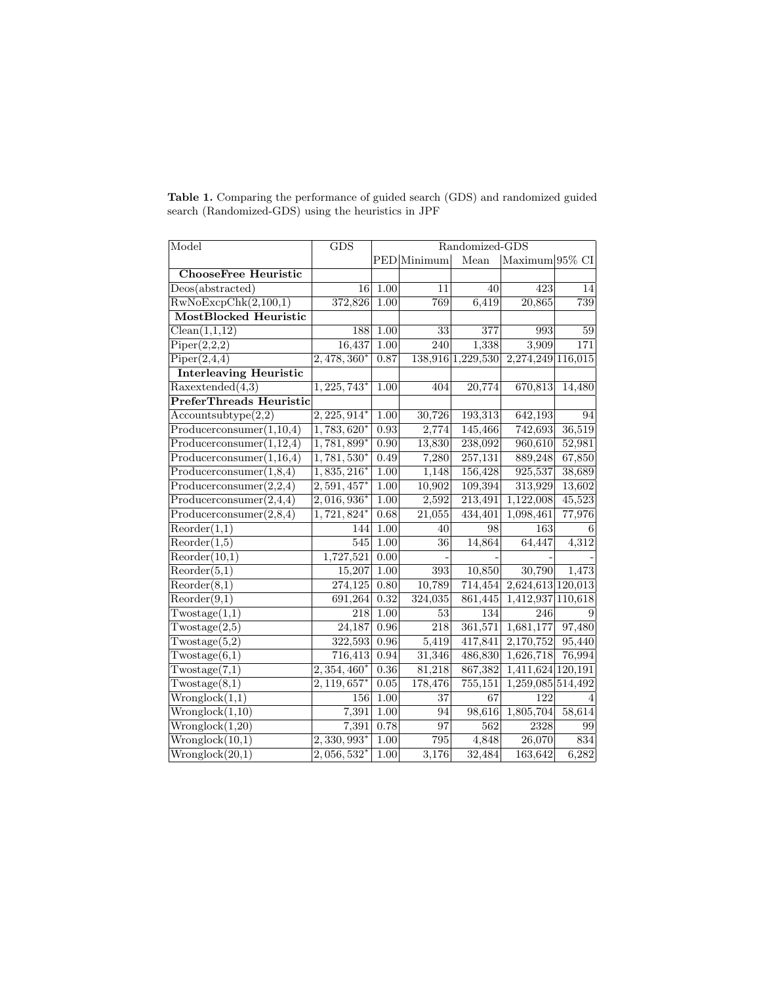| $\vert$ Model                        | GDS                      | Randomized-GDS |                    |                   |                     |        |  |  |
|--------------------------------------|--------------------------|----------------|--------------------|-------------------|---------------------|--------|--|--|
|                                      |                          |                | PED Minimum        | Mean              | Maximum 95% CI      |        |  |  |
| <b>ChooseFree Heuristic</b>          |                          |                |                    |                   |                     |        |  |  |
| Deos(abstracted)                     | 16                       | 1.00           | 11                 | 40                | 423                 | 14     |  |  |
| RwNoExcpChk(2,100,1)                 | 372,826                  | 1.00           | 769                | 6,419             | 20,865              | 739    |  |  |
| MostBlocked Heuristic                |                          |                |                    |                   |                     |        |  |  |
| Clean(1,1,12)                        | 188                      | 1.00           | $\overline{33}$    | 377               | 993                 | 59     |  |  |
| $\overline{\text{Piper}(2,2,2)}$     | 16,437                   | 1.00           | $\overline{240}$   | 1,338             | 3,909               | 171    |  |  |
| Piper(2,4,4)                         | $2,478,360*$             | 0.87           |                    | 138,916 1,229,530 | 2,274,249 116,015   |        |  |  |
| <b>Interleaving Heuristic</b>        |                          |                |                    |                   |                     |        |  |  |
| $\overline{\text{Raxextended}(4,3)}$ | $1,225,743^*$            | 1.00           | 404                | 20,774            | 670,813             | 14,480 |  |  |
| <b>PreferThreads Heuristic</b>       |                          |                |                    |                   |                     |        |  |  |
| Accountsubtype(2,2)                  | $2,225,914*$             | 1.00           | 30,726             | 193,313           | 642,193             | 94     |  |  |
| Producter consumer(1,10,4)           | $1,783,620*$             | 0.93           | 2,774              | 145,466           | 742,693             | 36,519 |  |  |
| Product crossumer(1,12,4)            | $1,781,899*$             | 0.90           | 13,830             | 238,092           | 960,610             | 52,981 |  |  |
| Product crossumer(1,16,4)            | $1,781,530*$             | 0.49           | 7,280              | 257,131           | 889,248             | 67,850 |  |  |
| Producter consumer(1, 8, 4)          | $1,835,216*$             | 1.00           | 1,148              | 156,428           | 925,537             | 38,689 |  |  |
| Producter consumer(2,2,4)            | $2,591,457*$             | 1.00           | 10,902             | 109,394           | 313,929             | 13,602 |  |  |
| Producter consumer(2,4,4)            | $2,016,936*$             | $1.00\,$       | 2,592              | 213,491           | 1,122,008           | 45,523 |  |  |
| Producter consumer(2, 8, 4)          | $1,721,824$ <sup>*</sup> | 0.68           | 21,055             | 434,401           | 1,098,461           | 77,976 |  |  |
| Reorder(1,1)                         | 144                      | 1.00           | 40                 | 98                | 163                 |        |  |  |
| Reorder(1,5)                         | 545                      | 1.00           | 36                 | 14,864            | 64,447              | 4,312  |  |  |
| Reorder(10,1)                        | 1,727,521                | 0.00           |                    |                   |                     |        |  |  |
| Reorder(5,1)                         | 15,207                   | 1.00           | 393                | 10,850            | 30,790              | 1,473  |  |  |
| Reorder(8,1)                         | 274,125                  | 0.80           | 10,789             | 714,454           | 2,624,613 120,013   |        |  |  |
| Reorder(9,1)                         | 691,264                  | 0.32           | 324,035            | 861,445           | 1,412,937 110,618   |        |  |  |
| Twostage(1,1)                        | 218                      | 1.00           | 53                 | 134               | 246                 |        |  |  |
| $\overline{\text{Twostage}}(2,5)$    | $\overline{24,}187$      | 0.96           | 218                | 361,571           | 1,681,177           | 97,480 |  |  |
| $\overline{\text{Twostage}}(5,2)$    | 322,593                  | 0.96           | 5,419              | 417,841           | 2,170,752           | 95,440 |  |  |
| Twostage(6,1)                        | 716,413                  | 0.94           | 31,346             | 486,830           | 1,626,718           | 76,994 |  |  |
| Twostage(7,1)                        | $2,354,460*$             | 0.36           | 81,218             | 867,382           | 1,411,624 120,191   |        |  |  |
| Twostage(8,1)                        | $2, 119, 657*$           | 0.05           | 178,476            | 755,151           | 1,259,085 514,492   |        |  |  |
| Wronglock(1,1)                       | 156                      | 1.00           | 37                 | 67                | 122                 |        |  |  |
| Wronglock(1,10)                      | 7,391                    | 1.00           | 94                 | 98,616            | 1,805,704           | 58,614 |  |  |
| Wronglock(1,20)                      | 7,391                    | 0.78           | 97                 | 562               | 2328                | 99     |  |  |
| Wronglock(10,1)                      | $2,330,993*$             | 1.00           | 795                | 4,848             | $\overline{26,070}$ | 834    |  |  |
| Wronglock(20,1)                      | $2,056,532*$             | 1.00           | $\overline{3,176}$ | 32,484            | 163,642             | 6,282  |  |  |

Table 1. Comparing the performance of guided search (GDS) and randomized guided search (Randomized-GDS) using the heuristics in JPF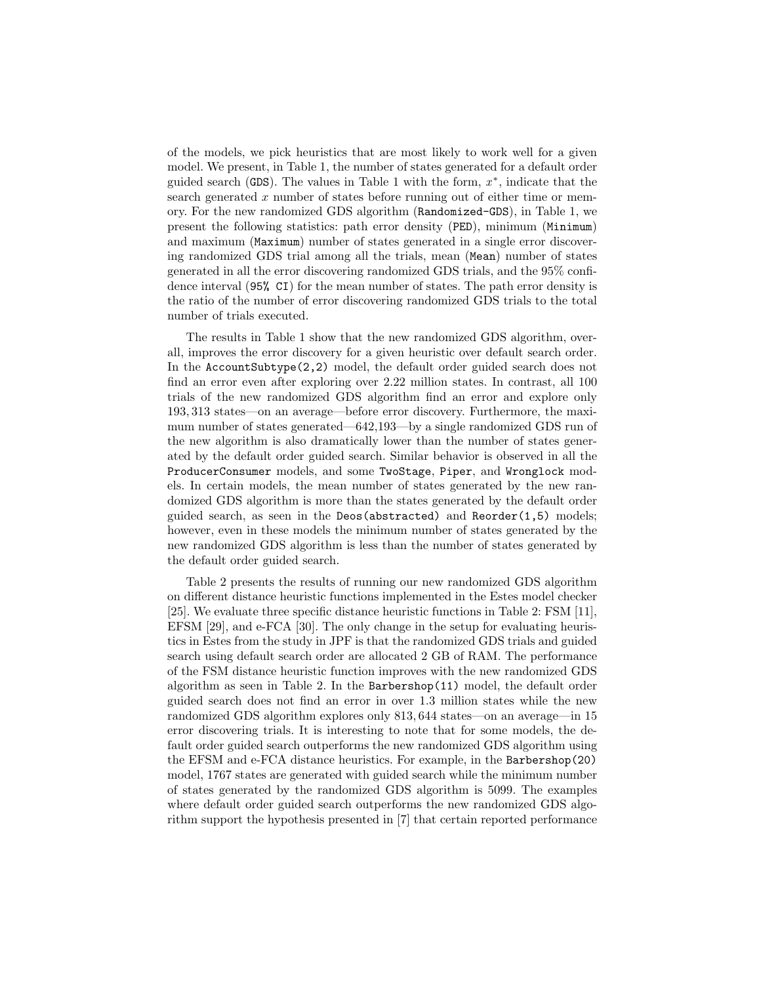of the models, we pick heuristics that are most likely to work well for a given model. We present, in Table 1, the number of states generated for a default order guided search (GDS). The values in Table 1 with the form,  $x^*$ , indicate that the search generated  $x$  number of states before running out of either time or memory. For the new randomized GDS algorithm (Randomized-GDS), in Table 1, we present the following statistics: path error density (PED), minimum (Minimum) and maximum (Maximum) number of states generated in a single error discovering randomized GDS trial among all the trials, mean (Mean) number of states generated in all the error discovering randomized GDS trials, and the 95% confidence interval (95% CI) for the mean number of states. The path error density is the ratio of the number of error discovering randomized GDS trials to the total number of trials executed.

The results in Table 1 show that the new randomized GDS algorithm, overall, improves the error discovery for a given heuristic over default search order. In the AccountSubtype(2,2) model, the default order guided search does not find an error even after exploring over 2.22 million states. In contrast, all 100 trials of the new randomized GDS algorithm find an error and explore only 193, 313 states—on an average—before error discovery. Furthermore, the maximum number of states generated—642,193—by a single randomized GDS run of the new algorithm is also dramatically lower than the number of states generated by the default order guided search. Similar behavior is observed in all the ProducerConsumer models, and some TwoStage, Piper, and Wronglock models. In certain models, the mean number of states generated by the new randomized GDS algorithm is more than the states generated by the default order guided search, as seen in the Deos(abstracted) and Reorder(1,5) models; however, even in these models the minimum number of states generated by the new randomized GDS algorithm is less than the number of states generated by the default order guided search.

Table 2 presents the results of running our new randomized GDS algorithm on different distance heuristic functions implemented in the Estes model checker [25]. We evaluate three specific distance heuristic functions in Table 2: FSM [11], EFSM [29], and e-FCA [30]. The only change in the setup for evaluating heuristics in Estes from the study in JPF is that the randomized GDS trials and guided search using default search order are allocated 2 GB of RAM. The performance of the FSM distance heuristic function improves with the new randomized GDS algorithm as seen in Table 2. In the Barbershop(11) model, the default order guided search does not find an error in over 1.3 million states while the new randomized GDS algorithm explores only 813, 644 states—on an average—in 15 error discovering trials. It is interesting to note that for some models, the default order guided search outperforms the new randomized GDS algorithm using the EFSM and e-FCA distance heuristics. For example, in the Barbershop(20) model, 1767 states are generated with guided search while the minimum number of states generated by the randomized GDS algorithm is 5099. The examples where default order guided search outperforms the new randomized GDS algorithm support the hypothesis presented in [7] that certain reported performance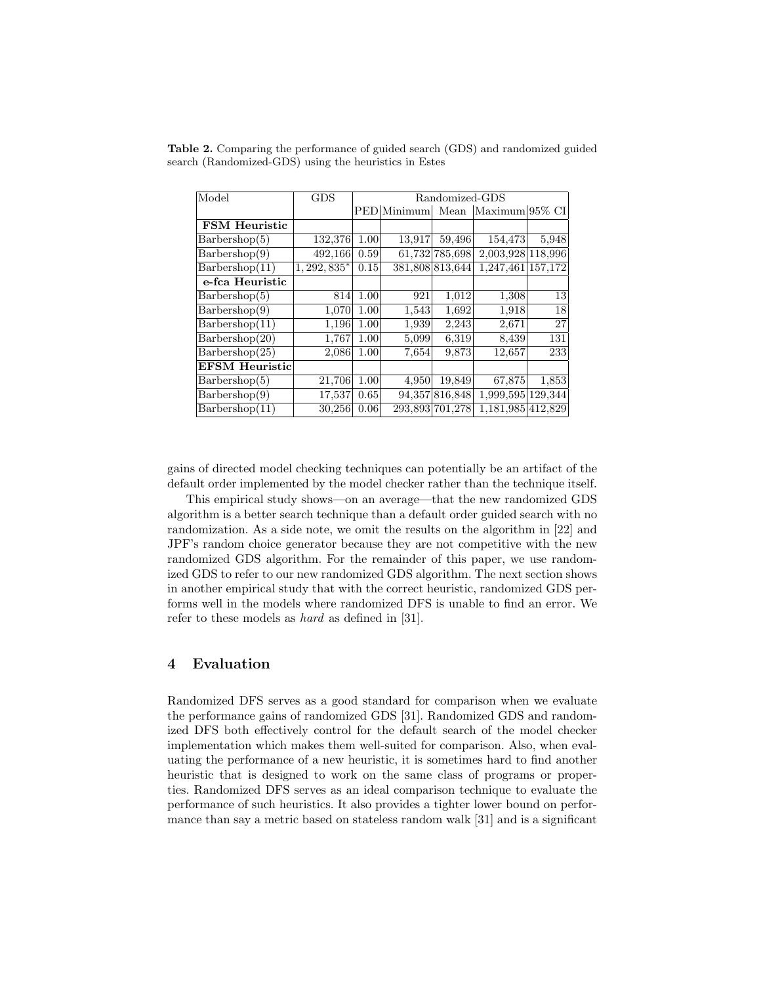| Model                 | <b>GDS</b>     | Randomized-GDS |                  |                  |                        |         |  |  |  |  |  |
|-----------------------|----------------|----------------|------------------|------------------|------------------------|---------|--|--|--|--|--|
|                       |                |                | PED Minimum Mean |                  | Maximum 95% CI         |         |  |  |  |  |  |
| <b>FSM</b> Heuristic  |                |                |                  |                  |                        |         |  |  |  |  |  |
| Barbershop(5)         | 132,376        | 1.00           | 13,917           | 59,496           | 154,473                | 5,948   |  |  |  |  |  |
| Barbershop(9)         | 492,166        | 0.59           |                  | 61,732 785,698   | 2,003,928 118,996      |         |  |  |  |  |  |
| Barbershop(11)        | $1, 292, 835*$ | 0.15           |                  | 381,808 813,644  | 1,247,461              | 157,172 |  |  |  |  |  |
| e-fca Heuristic       |                |                |                  |                  |                        |         |  |  |  |  |  |
| Barbershop(5)         | 814            | 1.00           | 921              | 1,012            | 1,308                  | 13      |  |  |  |  |  |
| Barbershop(9)         | 1,070          | 1.00           | 1,543            | 1,692            | 1,918                  | 18      |  |  |  |  |  |
| Barbershop(11)        | 1,196          | 1.00           | 1,939            | 2,243            | 2,671                  | 27      |  |  |  |  |  |
| Barbershop(20)        | 1,767          | 1.00           | 5,099            | $\sqrt{6,319}$   | 8,439                  | 131     |  |  |  |  |  |
| Barbershop(25)        | 2,086          | 1.00           | 7,654            | 9,873            | 12,657                 | 233     |  |  |  |  |  |
| <b>EFSM Heuristic</b> |                |                |                  |                  |                        |         |  |  |  |  |  |
| Barbershop(5)         | 21,706         | 1.00           | 4,950            | 19,849           | 67,875                 | 1,853   |  |  |  |  |  |
| Barbershop(9)         | 17,537         | 0.65           |                  | 94, 357 816, 848 | $\overline{1,999,595}$ | 129,344 |  |  |  |  |  |
| Barbershop(11)        | 30,256         | 0.06           |                  | 293,893 701,278  | 1,181,985 412,829      |         |  |  |  |  |  |

Table 2. Comparing the performance of guided search (GDS) and randomized guided search (Randomized-GDS) using the heuristics in Estes

gains of directed model checking techniques can potentially be an artifact of the default order implemented by the model checker rather than the technique itself.

This empirical study shows—on an average—that the new randomized GDS algorithm is a better search technique than a default order guided search with no randomization. As a side note, we omit the results on the algorithm in [22] and JPF's random choice generator because they are not competitive with the new randomized GDS algorithm. For the remainder of this paper, we use randomized GDS to refer to our new randomized GDS algorithm. The next section shows in another empirical study that with the correct heuristic, randomized GDS performs well in the models where randomized DFS is unable to find an error. We refer to these models as hard as defined in [31].

### 4 Evaluation

Randomized DFS serves as a good standard for comparison when we evaluate the performance gains of randomized GDS [31]. Randomized GDS and randomized DFS both effectively control for the default search of the model checker implementation which makes them well-suited for comparison. Also, when evaluating the performance of a new heuristic, it is sometimes hard to find another heuristic that is designed to work on the same class of programs or properties. Randomized DFS serves as an ideal comparison technique to evaluate the performance of such heuristics. It also provides a tighter lower bound on performance than say a metric based on stateless random walk [31] and is a significant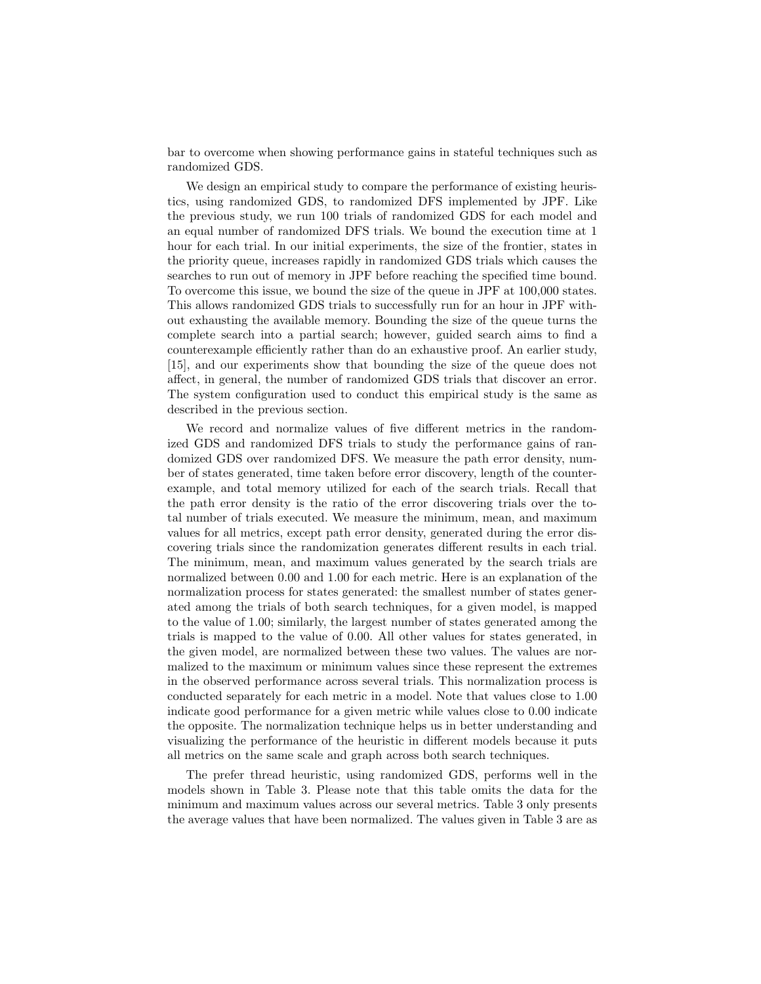bar to overcome when showing performance gains in stateful techniques such as randomized GDS.

We design an empirical study to compare the performance of existing heuristics, using randomized GDS, to randomized DFS implemented by JPF. Like the previous study, we run 100 trials of randomized GDS for each model and an equal number of randomized DFS trials. We bound the execution time at 1 hour for each trial. In our initial experiments, the size of the frontier, states in the priority queue, increases rapidly in randomized GDS trials which causes the searches to run out of memory in JPF before reaching the specified time bound. To overcome this issue, we bound the size of the queue in JPF at 100,000 states. This allows randomized GDS trials to successfully run for an hour in JPF without exhausting the available memory. Bounding the size of the queue turns the complete search into a partial search; however, guided search aims to find a counterexample efficiently rather than do an exhaustive proof. An earlier study, [15], and our experiments show that bounding the size of the queue does not affect, in general, the number of randomized GDS trials that discover an error. The system configuration used to conduct this empirical study is the same as described in the previous section.

We record and normalize values of five different metrics in the randomized GDS and randomized DFS trials to study the performance gains of randomized GDS over randomized DFS. We measure the path error density, number of states generated, time taken before error discovery, length of the counterexample, and total memory utilized for each of the search trials. Recall that the path error density is the ratio of the error discovering trials over the total number of trials executed. We measure the minimum, mean, and maximum values for all metrics, except path error density, generated during the error discovering trials since the randomization generates different results in each trial. The minimum, mean, and maximum values generated by the search trials are normalized between 0.00 and 1.00 for each metric. Here is an explanation of the normalization process for states generated: the smallest number of states generated among the trials of both search techniques, for a given model, is mapped to the value of 1.00; similarly, the largest number of states generated among the trials is mapped to the value of 0.00. All other values for states generated, in the given model, are normalized between these two values. The values are normalized to the maximum or minimum values since these represent the extremes in the observed performance across several trials. This normalization process is conducted separately for each metric in a model. Note that values close to 1.00 indicate good performance for a given metric while values close to 0.00 indicate the opposite. The normalization technique helps us in better understanding and visualizing the performance of the heuristic in different models because it puts all metrics on the same scale and graph across both search techniques.

The prefer thread heuristic, using randomized GDS, performs well in the models shown in Table 3. Please note that this table omits the data for the minimum and maximum values across our several metrics. Table 3 only presents the average values that have been normalized. The values given in Table 3 are as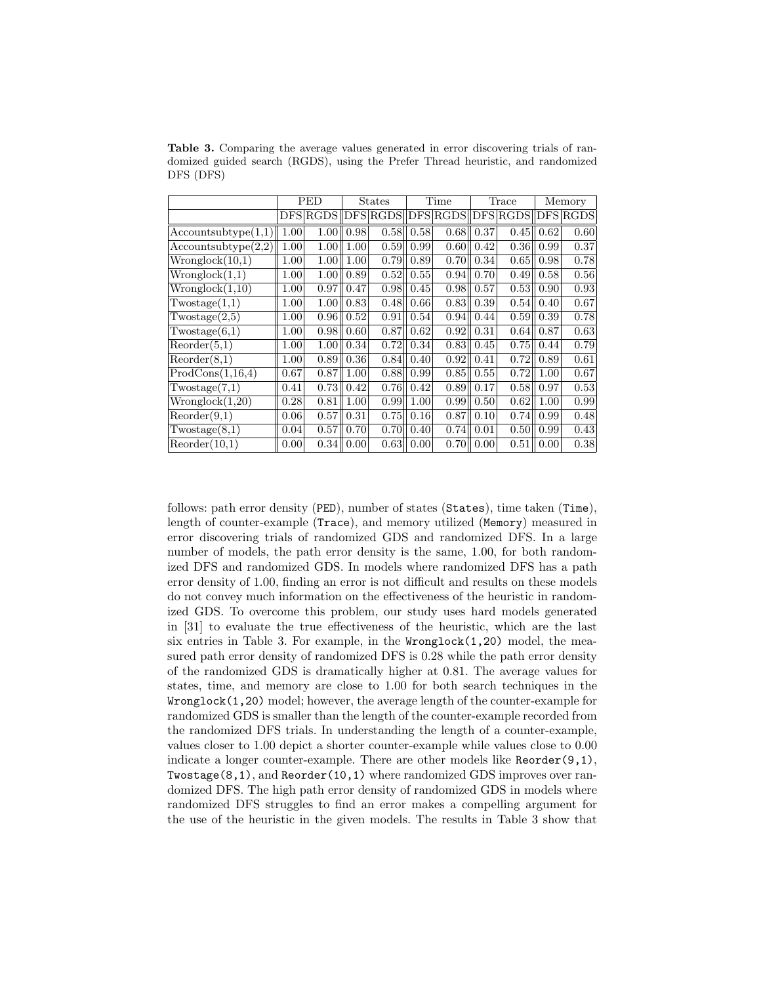Table 3. Comparing the average values generated in error discovering trials of randomized guided search (RGDS), using the Prefer Thread heuristic, and randomized DFS (DFS)

|                                         | <b>PED</b> |             | <b>States</b> |          | Time       |             | Trace      |             | Memory |                |
|-----------------------------------------|------------|-------------|---------------|----------|------------|-------------|------------|-------------|--------|----------------|
|                                         | <b>DFS</b> | <b>RGDS</b> |               | DFS RGDS | <b>DFS</b> | <b>RGDS</b> | <b>DFS</b> | <b>RGDS</b> |        | <b>DFSRGDS</b> |
| $\overline{\text{Accountsubtype}}(1,1)$ | 1.00       | 1.00        | 0.98          | 0.58     | 0.58       | 0.68        | 0.37       | 0.45        | 0.62   | 0.60           |
| $\overline{\text{Accountsubtype}}(2,2)$ | 1.00       | 1.00        | 1.00          | 0.59     | 0.99       | 0.60        | 0.42       | 0.36        | 0.99   | 0.37           |
| Wronglock(10,1)                         | 1.00       | 1.00        | 1.00          | 0.79     | 0.89       | 0.70        | 0.34       | 0.65        | 0.98   | 0.78           |
| Wronglock(1,1)                          | 1.00       | 1.00        | 0.89          | 0.52     | 0.55       | 0.94        | 0.70       | 0.49        | 0.58   | 0.56           |
| Wronglock(1,10)                         | 1.00       | 0.97        | 0.47          | 0.98     | 0.45       | 0.98        | 0.57       | 0.53        | 0.90   | 0.93           |
| Twostage(1,1)                           | 1.00       | 1.00        | 0.83          | 0.48     | 0.66       | 0.83        | 0.39       | 0.54        | 0.40   | 0.67           |
| Twostage(2,5)                           | 1.00       | 0.96        | 0.52          | 0.91     | 0.54       | 0.94        | 0.44       | 0.59        | 0.39   | 0.78           |
| Twostage(6,1)                           | 1.00       | 0.98        | 0.60          | 0.87     | 0.62       | 0.92        | 0.31       | 0.64        | 0.87   | 0.63           |
| Reorder(5,1)                            | 1.00       | 1.00        | 0.34          | 0.72     | 0.34       | 0.83        | 0.45       | 0.75        | 0.44   | 0.79           |
| Reorder(8,1)                            | 1.00       | 0.89        | 0.36          | 0.84     | 0.40       | 0.92        | 0.41       | 0.72        | 0.89   | 0.61           |
| ProdCons(1,16,4)                        | 0.67       | 0.87        | 1.00          | 0.88     | 0.99       | 0.85        | 0.55       | 0.72        | 1.00   | 0.67           |
| Twstage(7,1)                            | 0.41       | 0.73        | 0.42          | 0.76     | 0.42       | 0.89        | 0.17       | 0.58        | 0.97   | 0.53           |
| Wronglock(1,20)                         | 0.28       | 0.81        | 1.00          | 0.99     | 1.00       | 0.99        | 0.50       | 0.62        | 1.00   | 0.99           |
| Reorder(9,1)                            | 0.06       | 0.57        | 0.31          | 0.75     | 0.16       | 0.87        | 0.10       | 0.74        | 0.99   | 0.48           |
| Twostage(8,1)                           | 0.04       | 0.57        | 0.70          | 0.70     | 0.40       | 0.74        | 0.01       | 0.50        | 0.99   | 0.43           |
| Reorder(10,1)                           | 0.00       | 0.34        | 0.00          | 0.63     | 0.00       | 0.70        | 0.00       | 0.51        | 0.00   | 0.38           |

follows: path error density (PED), number of states (States), time taken (Time), length of counter-example (Trace), and memory utilized (Memory) measured in error discovering trials of randomized GDS and randomized DFS. In a large number of models, the path error density is the same, 1.00, for both randomized DFS and randomized GDS. In models where randomized DFS has a path error density of 1.00, finding an error is not difficult and results on these models do not convey much information on the effectiveness of the heuristic in randomized GDS. To overcome this problem, our study uses hard models generated in [31] to evaluate the true effectiveness of the heuristic, which are the last six entries in Table 3. For example, in the Wronglock(1,20) model, the measured path error density of randomized DFS is 0.28 while the path error density of the randomized GDS is dramatically higher at 0.81. The average values for states, time, and memory are close to 1.00 for both search techniques in the Wronglock(1,20) model; however, the average length of the counter-example for randomized GDS is smaller than the length of the counter-example recorded from the randomized DFS trials. In understanding the length of a counter-example, values closer to 1.00 depict a shorter counter-example while values close to 0.00 indicate a longer counter-example. There are other models like  $Reorder(9,1)$ , Twostage(8,1), and Reorder(10,1) where randomized GDS improves over randomized DFS. The high path error density of randomized GDS in models where randomized DFS struggles to find an error makes a compelling argument for the use of the heuristic in the given models. The results in Table 3 show that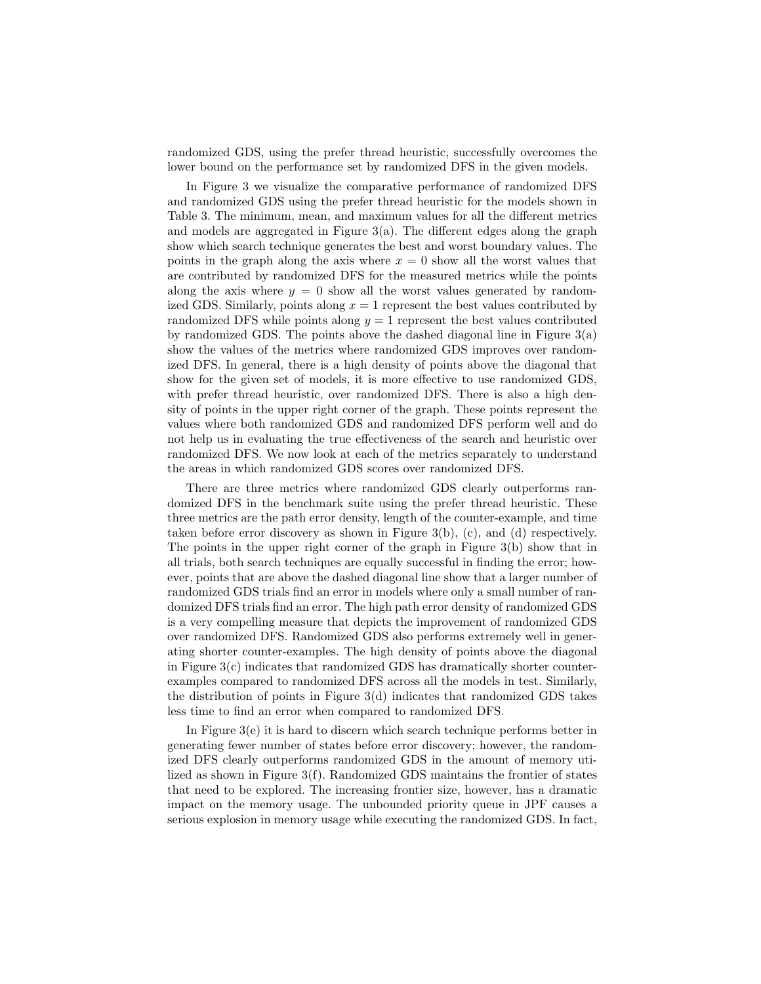randomized GDS, using the prefer thread heuristic, successfully overcomes the lower bound on the performance set by randomized DFS in the given models.

In Figure 3 we visualize the comparative performance of randomized DFS and randomized GDS using the prefer thread heuristic for the models shown in Table 3. The minimum, mean, and maximum values for all the different metrics and models are aggregated in Figure  $3(a)$ . The different edges along the graph show which search technique generates the best and worst boundary values. The points in the graph along the axis where  $x = 0$  show all the worst values that are contributed by randomized DFS for the measured metrics while the points along the axis where  $y = 0$  show all the worst values generated by randomized GDS. Similarly, points along  $x = 1$  represent the best values contributed by randomized DFS while points along  $y = 1$  represent the best values contributed by randomized GDS. The points above the dashed diagonal line in Figure  $3(a)$ show the values of the metrics where randomized GDS improves over randomized DFS. In general, there is a high density of points above the diagonal that show for the given set of models, it is more effective to use randomized GDS, with prefer thread heuristic, over randomized DFS. There is also a high density of points in the upper right corner of the graph. These points represent the values where both randomized GDS and randomized DFS perform well and do not help us in evaluating the true effectiveness of the search and heuristic over randomized DFS. We now look at each of the metrics separately to understand the areas in which randomized GDS scores over randomized DFS.

There are three metrics where randomized GDS clearly outperforms randomized DFS in the benchmark suite using the prefer thread heuristic. These three metrics are the path error density, length of the counter-example, and time taken before error discovery as shown in Figure 3(b), (c), and (d) respectively. The points in the upper right corner of the graph in Figure 3(b) show that in all trials, both search techniques are equally successful in finding the error; however, points that are above the dashed diagonal line show that a larger number of randomized GDS trials find an error in models where only a small number of randomized DFS trials find an error. The high path error density of randomized GDS is a very compelling measure that depicts the improvement of randomized GDS over randomized DFS. Randomized GDS also performs extremely well in generating shorter counter-examples. The high density of points above the diagonal in Figure 3(c) indicates that randomized GDS has dramatically shorter counterexamples compared to randomized DFS across all the models in test. Similarly, the distribution of points in Figure 3(d) indicates that randomized GDS takes less time to find an error when compared to randomized DFS.

In Figure 3(e) it is hard to discern which search technique performs better in generating fewer number of states before error discovery; however, the randomized DFS clearly outperforms randomized GDS in the amount of memory utilized as shown in Figure 3(f). Randomized GDS maintains the frontier of states that need to be explored. The increasing frontier size, however, has a dramatic impact on the memory usage. The unbounded priority queue in JPF causes a serious explosion in memory usage while executing the randomized GDS. In fact,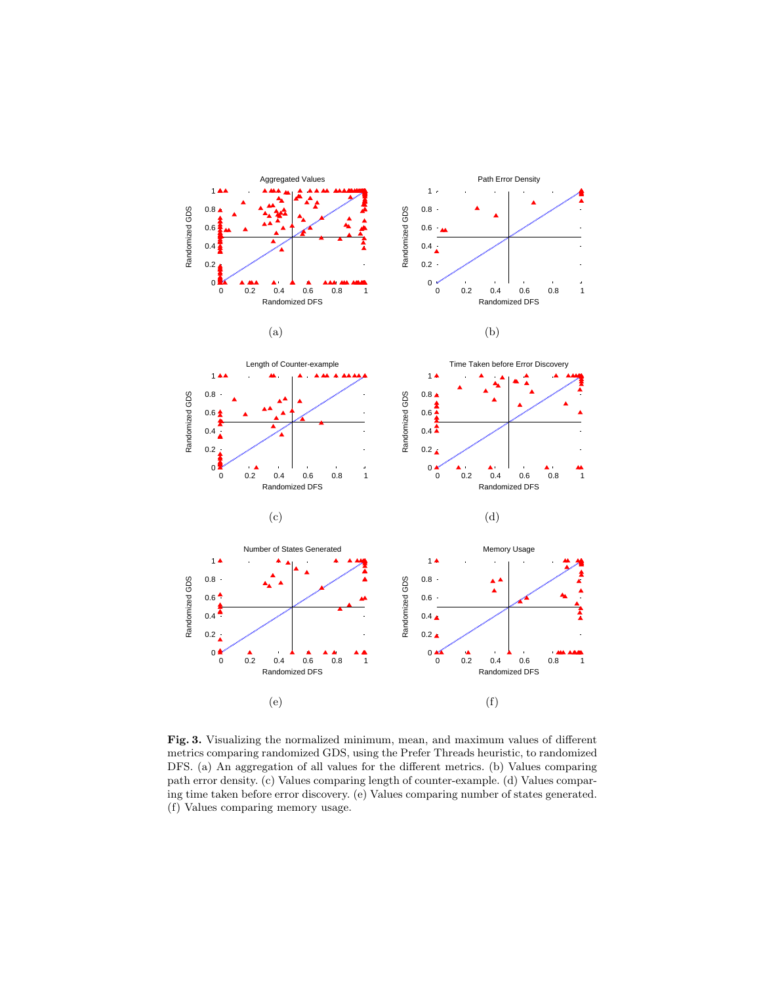

Fig. 3. Visualizing the normalized minimum, mean, and maximum values of different metrics comparing randomized GDS, using the Prefer Threads heuristic, to randomized DFS. (a) An aggregation of all values for the different metrics. (b) Values comparing path error density. (c) Values comparing length of counter-example. (d) Values comparing time taken before error discovery. (e) Values comparing number of states generated. (f) Values comparing memory usage.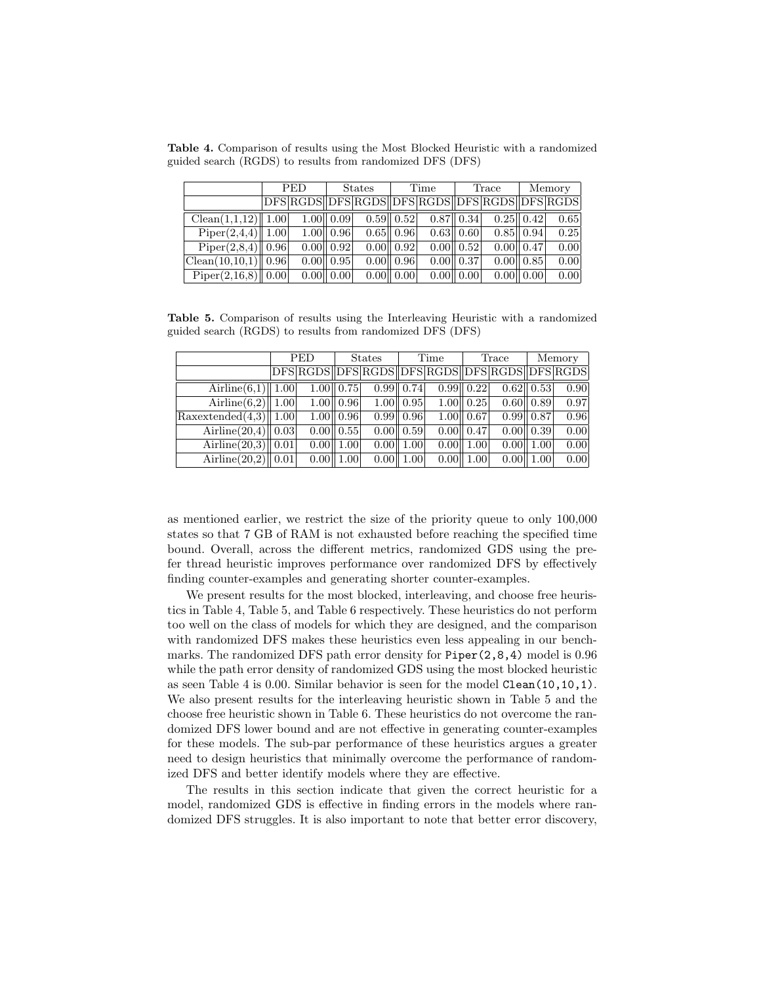Table 4. Comparison of results using the Most Blocked Heuristic with a randomized guided search (RGDS) to results from randomized DFS (DFS)

|                                           | <b>PED</b> |                                                  | <b>States</b> |  | Time             |                             | Trace            |  | Memory           |      |
|-------------------------------------------|------------|--------------------------------------------------|---------------|--|------------------|-----------------------------|------------------|--|------------------|------|
|                                           |            | DFS RGDS  DFS RGDS  DFS RGDS  DFS RGDS  DFS RGDS |               |  |                  |                             |                  |  |                  |      |
| $Clean(1,1,12)$    1.00                   |            |                                                  | 1.00  0.09    |  | 0.59  0.52       |                             | $0.87$   0.34    |  | 0.25  0.42       | 0.65 |
| $Piper(2,4,4)$   1.00                     |            |                                                  | 1.00  0.96    |  | $0.65$    0.96   |                             | $0.63$    $0.60$ |  | $0.85$    $0.94$ | 0.25 |
| $\text{Piper}(2,8,4)$ 0.96                |            |                                                  | 0.00  0.92    |  | 0.00  0.92       | $0.00$    $0.\overline{52}$ |                  |  | 0.00  0.47       | 0.00 |
| $ {\rm Clean}(10,\overline{10,1})  0.96 $ |            |                                                  | 0.00  0.95    |  | 0.00  0.96       |                             | 0.00  0.37       |  | 0.00  0.85       | 0.00 |
| $\overline{\text{Piper}(2,16,8)}$ 0.00    |            |                                                  | $0.00$   0.00 |  | $0.00$    $0.00$ |                             | 0.00  0.00       |  | 0.00  0.00       | 0.00 |

Table 5. Comparison of results using the Interleaving Heuristic with a randomized guided search (RGDS) to results from randomized DFS (DFS)

|                                        | <b>PED</b> |  | <b>States</b>  |  | Time           |                                                  | Trace         |  | Memory           |      |
|----------------------------------------|------------|--|----------------|--|----------------|--------------------------------------------------|---------------|--|------------------|------|
|                                        |            |  |                |  |                | DFS RGDS  DFS RGDS  DFS RGDS  DFS RGDS  DFS RGDS |               |  |                  |      |
| Airline $(6,1)$   1.00                 |            |  | 1.00  0.75     |  | $0.99$ 0.74    |                                                  | $0.99$ 0.22   |  | $0.62$    $0.53$ | 0.90 |
| Airline $(6,2)$    1.00                |            |  | 1.00  0.96     |  | 1.00  0.95     |                                                  | 1.00 0.25     |  | 0.60  0.89       | 0.97 |
| Raxextended $(4,3)$    1.00            |            |  | 1.00  0.96     |  | $0.99$   0.96  |                                                  | 1.00  0.67    |  | $0.99$    $0.87$ | 0.96 |
| Airline $(20,4)$   0.03                |            |  | 0.00  0.55     |  | 0.00  0.59     |                                                  | 0.00  0.47    |  | 0.00  0.39       | 0.00 |
| Airline $(20,3)$    0.01               |            |  | $0.00$    1.00 |  | $0.00$    1.00 |                                                  | $0.00$   1.00 |  | $0.00$    1.00   | 0.00 |
| $\overline{\text{Airline}(20,2)}$ 0.01 |            |  | $0.00$    1.00 |  | $0.00$   1.00  | 0.00                                             | 1.00          |  | $0.00$    1.00   | 0.00 |

as mentioned earlier, we restrict the size of the priority queue to only 100,000 states so that 7 GB of RAM is not exhausted before reaching the specified time bound. Overall, across the different metrics, randomized GDS using the prefer thread heuristic improves performance over randomized DFS by effectively finding counter-examples and generating shorter counter-examples.

We present results for the most blocked, interleaving, and choose free heuristics in Table 4, Table 5, and Table 6 respectively. These heuristics do not perform too well on the class of models for which they are designed, and the comparison with randomized DFS makes these heuristics even less appealing in our benchmarks. The randomized DFS path error density for Piper(2,8,4) model is 0.96 while the path error density of randomized GDS using the most blocked heuristic as seen Table 4 is 0.00. Similar behavior is seen for the model Clean(10,10,1). We also present results for the interleaving heuristic shown in Table 5 and the choose free heuristic shown in Table 6. These heuristics do not overcome the randomized DFS lower bound and are not effective in generating counter-examples for these models. The sub-par performance of these heuristics argues a greater need to design heuristics that minimally overcome the performance of randomized DFS and better identify models where they are effective.

The results in this section indicate that given the correct heuristic for a model, randomized GDS is effective in finding errors in the models where randomized DFS struggles. It is also important to note that better error discovery,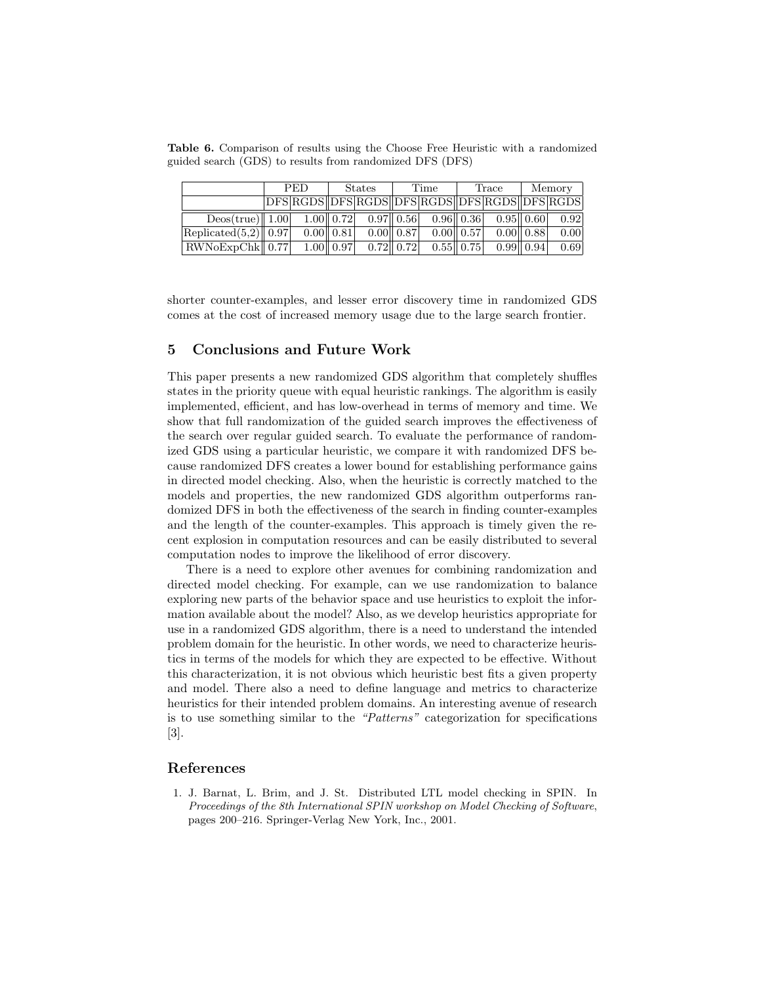Table 6. Comparison of results using the Choose Free Heuristic with a randomized guided search (GDS) to results from randomized DFS (DFS)

|                                    | <b>PED</b> |            | <b>States</b>    |                                                  | Time        |  | Trace       |  | Memory           |      |
|------------------------------------|------------|------------|------------------|--------------------------------------------------|-------------|--|-------------|--|------------------|------|
|                                    |            |            |                  | DFS RGDS  DFS RGDS  DFS RGDS  DFS RGDS  DFS RGDS |             |  |             |  |                  |      |
| $\text{Deos}(\text{true})$    1.00 |            | 1.00  0.72 |                  |                                                  | 0.97  0.56  |  | 0.96  0.36  |  | 0.95  0.60       | 0.92 |
| $\text{Replicated}(5,2) \mid 0.97$ |            |            | $0.00 \mid 0.81$ |                                                  | 0.00  0.87  |  | 0.00  0.57  |  | $0.00$    0.88   | 0.00 |
| RWNoExpChk    0.77                 |            |            | $1.00$ 0.97      |                                                  | $0.72$ 0.72 |  | $0.55$ 0.75 |  | $0.99$    $0.94$ | 0.69 |

shorter counter-examples, and lesser error discovery time in randomized GDS comes at the cost of increased memory usage due to the large search frontier.

### 5 Conclusions and Future Work

This paper presents a new randomized GDS algorithm that completely shuffles states in the priority queue with equal heuristic rankings. The algorithm is easily implemented, efficient, and has low-overhead in terms of memory and time. We show that full randomization of the guided search improves the effectiveness of the search over regular guided search. To evaluate the performance of randomized GDS using a particular heuristic, we compare it with randomized DFS because randomized DFS creates a lower bound for establishing performance gains in directed model checking. Also, when the heuristic is correctly matched to the models and properties, the new randomized GDS algorithm outperforms randomized DFS in both the effectiveness of the search in finding counter-examples and the length of the counter-examples. This approach is timely given the recent explosion in computation resources and can be easily distributed to several computation nodes to improve the likelihood of error discovery.

There is a need to explore other avenues for combining randomization and directed model checking. For example, can we use randomization to balance exploring new parts of the behavior space and use heuristics to exploit the information available about the model? Also, as we develop heuristics appropriate for use in a randomized GDS algorithm, there is a need to understand the intended problem domain for the heuristic. In other words, we need to characterize heuristics in terms of the models for which they are expected to be effective. Without this characterization, it is not obvious which heuristic best fits a given property and model. There also a need to define language and metrics to characterize heuristics for their intended problem domains. An interesting avenue of research is to use something similar to the "Patterns" categorization for specifications [3].

#### References

1. J. Barnat, L. Brim, and J. St. Distributed LTL model checking in SPIN. In Proceedings of the 8th International SPIN workshop on Model Checking of Software, pages 200–216. Springer-Verlag New York, Inc., 2001.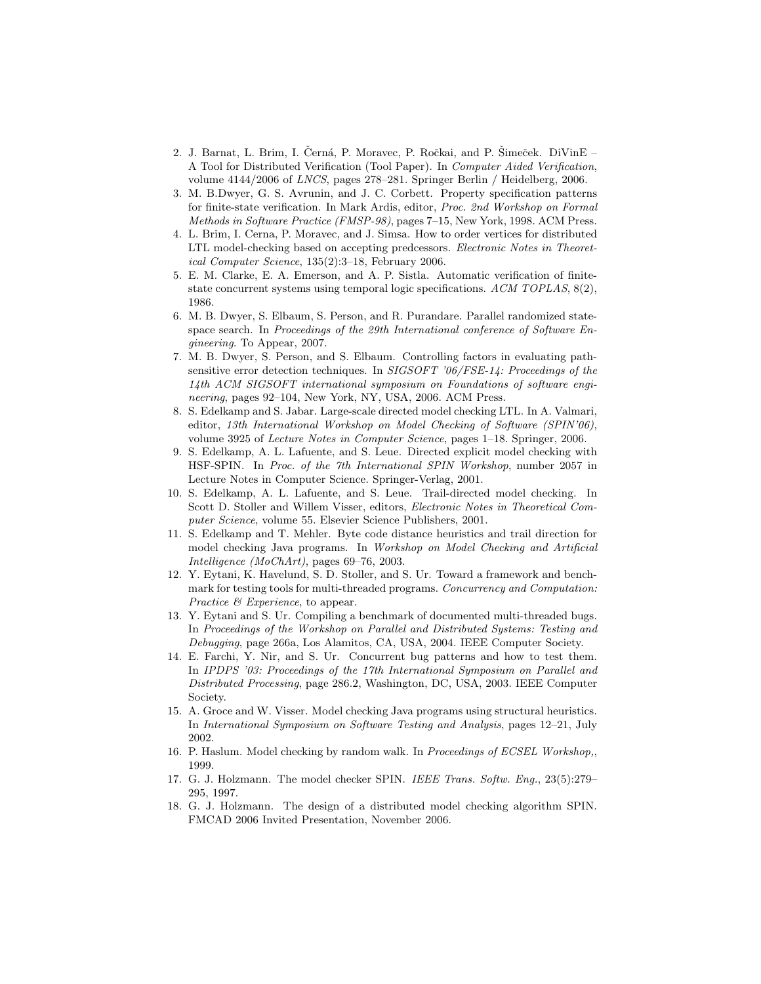- 2. J. Barnat, L. Brim, I. Černá, P. Moravec, P. Ročkai, and P. Šimeček. DiVinE A Tool for Distributed Verification (Tool Paper). In Computer Aided Verification, volume 4144/2006 of LNCS, pages 278–281. Springer Berlin / Heidelberg, 2006.
- 3. M. B.Dwyer, G. S. Avrunin, and J. C. Corbett. Property specification patterns for finite-state verification. In Mark Ardis, editor, Proc. 2nd Workshop on Formal Methods in Software Practice (FMSP-98), pages 7–15, New York, 1998. ACM Press.
- 4. L. Brim, I. Cerna, P. Moravec, and J. Simsa. How to order vertices for distributed LTL model-checking based on accepting predcessors. Electronic Notes in Theoretical Computer Science, 135(2):3–18, February 2006.
- 5. E. M. Clarke, E. A. Emerson, and A. P. Sistla. Automatic verification of finitestate concurrent systems using temporal logic specifications. ACM TOPLAS, 8(2), 1986.
- 6. M. B. Dwyer, S. Elbaum, S. Person, and R. Purandare. Parallel randomized statespace search. In Proceedings of the 29th International conference of Software Engineering. To Appear, 2007.
- 7. M. B. Dwyer, S. Person, and S. Elbaum. Controlling factors in evaluating pathsensitive error detection techniques. In SIGSOFT '06/FSE-14: Proceedings of the 14th ACM SIGSOFT international symposium on Foundations of software engineering, pages 92–104, New York, NY, USA, 2006. ACM Press.
- 8. S. Edelkamp and S. Jabar. Large-scale directed model checking LTL. In A. Valmari, editor, 13th International Workshop on Model Checking of Software (SPIN'06), volume 3925 of Lecture Notes in Computer Science, pages 1–18. Springer, 2006.
- 9. S. Edelkamp, A. L. Lafuente, and S. Leue. Directed explicit model checking with HSF-SPIN. In Proc. of the 7th International SPIN Workshop, number 2057 in Lecture Notes in Computer Science. Springer-Verlag, 2001.
- 10. S. Edelkamp, A. L. Lafuente, and S. Leue. Trail-directed model checking. In Scott D. Stoller and Willem Visser, editors, Electronic Notes in Theoretical Computer Science, volume 55. Elsevier Science Publishers, 2001.
- 11. S. Edelkamp and T. Mehler. Byte code distance heuristics and trail direction for model checking Java programs. In Workshop on Model Checking and Artificial Intelligence (MoChArt), pages 69–76, 2003.
- 12. Y. Eytani, K. Havelund, S. D. Stoller, and S. Ur. Toward a framework and benchmark for testing tools for multi-threaded programs. Concurrency and Computation: Practice & Experience, to appear.
- 13. Y. Eytani and S. Ur. Compiling a benchmark of documented multi-threaded bugs. In Proceedings of the Workshop on Parallel and Distributed Systems: Testing and Debugging, page 266a, Los Alamitos, CA, USA, 2004. IEEE Computer Society.
- 14. E. Farchi, Y. Nir, and S. Ur. Concurrent bug patterns and how to test them. In IPDPS '03: Proceedings of the 17th International Symposium on Parallel and Distributed Processing, page 286.2, Washington, DC, USA, 2003. IEEE Computer Society.
- 15. A. Groce and W. Visser. Model checking Java programs using structural heuristics. In International Symposium on Software Testing and Analysis, pages 12–21, July 2002.
- 16. P. Haslum. Model checking by random walk. In Proceedings of ECSEL Workshop,, 1999.
- 17. G. J. Holzmann. The model checker SPIN. IEEE Trans. Softw. Eng., 23(5):279– 295, 1997.
- 18. G. J. Holzmann. The design of a distributed model checking algorithm SPIN. FMCAD 2006 Invited Presentation, November 2006.